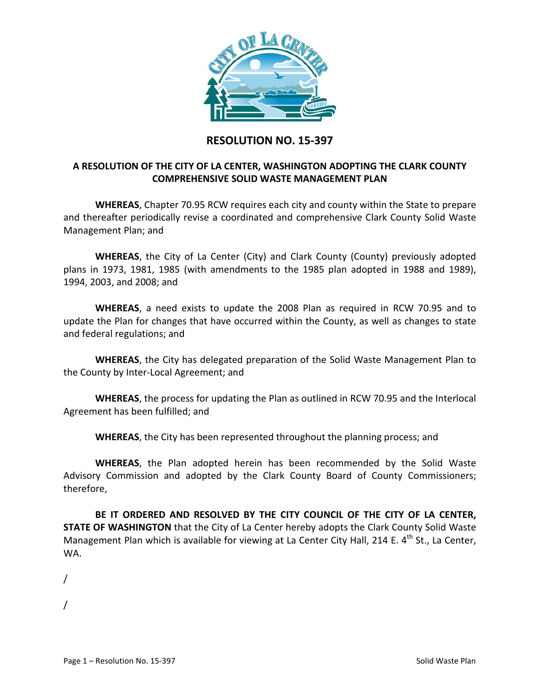

## **RESOLUTION NO. 15-397**

## **A RESOLUTION OF THE CITY OF LA CENTER, WASHINGTON ADOPTING THE CLARK COUNTY COMPREHENSIVE SOLID WASTE MANAGEMENT PLAN**

**WHEREAS**, Chapter 70.95 RCW requires each city and county within the State to prepare and thereafter periodically revise a coordinated and comprehensive Clark County Solid Waste Management Plan; and

**WHEREAS**, the City of La Center (City) and Clark County (County) previously adopted plans in 1973, 1981, 1985 (with amendments to the 1985 plan adopted in 1988 and 1989), 1994, 2003, and 2008; and

**WHEREAS**, a need exists to update the 2008 Plan as required in RCW 70.95 and to update the Plan for changes that have occurred within the County, as well as changes to state and federal regulations; and

**WHEREAS**, the City has delegated preparation of the Solid Waste Management Plan to the County by Inter-Local Agreement; and

**WHEREAS**, the process for updating the Plan as outlined in RCW 70.95 and the Interlocal Agreement has been fulfilled; and

**WHEREAS**, the City has been represented throughout the planning process; and

**WHEREAS**, the Plan adopted herein has been recommended by the Solid Waste Advisory Commission and adopted by the Clark County Board of County Commissioners; therefore,

**BE IT ORDERED AND RESOLVED BY THE CITY COUNCIL OF THE CITY OF LA CENTER, STATE OF WASHINGTON** that the City of La Center hereby adopts the Clark County Solid Waste Management Plan which is available for viewing at La Center City Hall, 214 E.  $4<sup>th</sup>$  St., La Center, WA.

/

/